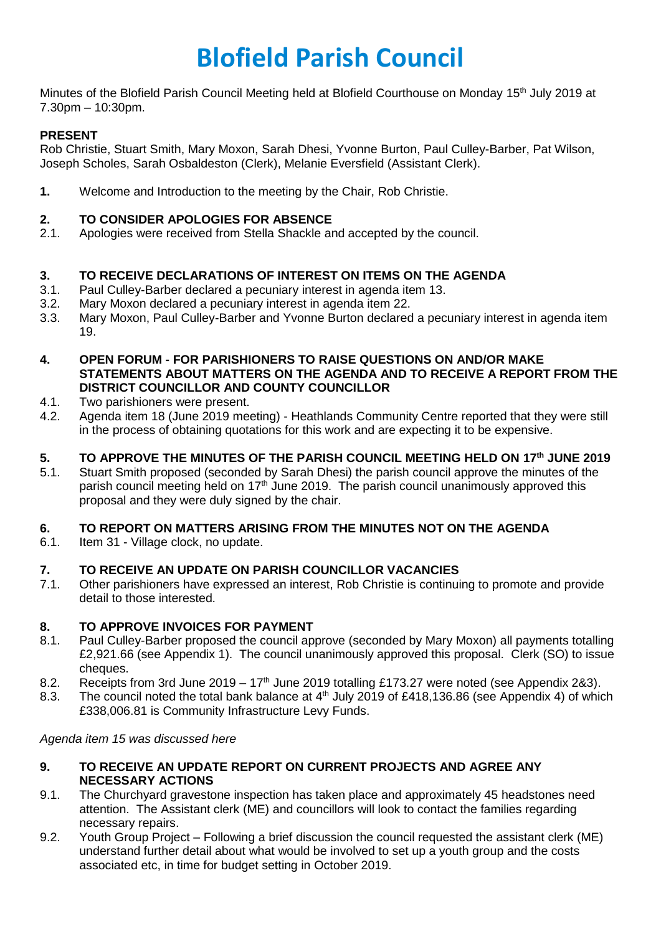# **Blofield Parish Council**

Minutes of the Blofield Parish Council Meeting held at Blofield Courthouse on Monday 15<sup>th</sup> July 2019 at 7.30pm – 10:30pm.

# **PRESENT**

Rob Christie, Stuart Smith, Mary Moxon, Sarah Dhesi, Yvonne Burton, Paul Culley-Barber, Pat Wilson, Joseph Scholes, Sarah Osbaldeston (Clerk), Melanie Eversfield (Assistant Clerk).

**1.** Welcome and Introduction to the meeting by the Chair, Rob Christie.

# **2. TO CONSIDER APOLOGIES FOR ABSENCE**

2.1. Apologies were received from Stella Shackle and accepted by the council.

# **3. TO RECEIVE DECLARATIONS OF INTEREST ON ITEMS ON THE AGENDA**

- 3.1. Paul Culley-Barber declared a pecuniary interest in agenda item 13.
- 3.2. Mary Moxon declared a pecuniary interest in agenda item 22.
- 3.3. Mary Moxon, Paul Culley-Barber and Yvonne Burton declared a pecuniary interest in agenda item 19.

#### **4. OPEN FORUM - FOR PARISHIONERS TO RAISE QUESTIONS ON AND/OR MAKE STATEMENTS ABOUT MATTERS ON THE AGENDA AND TO RECEIVE A REPORT FROM THE DISTRICT COUNCILLOR AND COUNTY COUNCILLOR**

- 4.1. Two parishioners were present.
- 4.2. Agenda item 18 (June 2019 meeting) Heathlands Community Centre reported that they were still in the process of obtaining quotations for this work and are expecting it to be expensive.

# **5. TO APPROVE THE MINUTES OF THE PARISH COUNCIL MEETING HELD ON 17th JUNE 2019**

5.1. Stuart Smith proposed (seconded by Sarah Dhesi) the parish council approve the minutes of the parish council meeting held on  $17<sup>th</sup>$  June 2019. The parish council unanimously approved this proposal and they were duly signed by the chair.

## **6. TO REPORT ON MATTERS ARISING FROM THE MINUTES NOT ON THE AGENDA**

6.1. Item 31 - Village clock, no update.

## **7. TO RECEIVE AN UPDATE ON PARISH COUNCILLOR VACANCIES**

7.1. Other parishioners have expressed an interest, Rob Christie is continuing to promote and provide detail to those interested.

## **8. TO APPROVE INVOICES FOR PAYMENT**

- 8.1. Paul Culley-Barber proposed the council approve (seconded by Mary Moxon) all payments totalling £2,921.66 (see Appendix 1). The council unanimously approved this proposal. Clerk (SO) to issue cheques.
- 8.2. Receipts from 3rd June 2019  $17<sup>th</sup>$  June 2019 totalling £173.27 were noted (see Appendix 2&3).
- 8.3. The council noted the total bank balance at  $4<sup>th</sup>$  July 2019 of £418,136.86 (see Appendix 4) of which £338,006.81 is Community Infrastructure Levy Funds.

## *Agenda item 15 was discussed here*

- **9. TO RECEIVE AN UPDATE REPORT ON CURRENT PROJECTS AND AGREE ANY NECESSARY ACTIONS**
- 9.1. The Churchyard gravestone inspection has taken place and approximately 45 headstones need attention. The Assistant clerk (ME) and councillors will look to contact the families regarding necessary repairs.
- 9.2. Youth Group Project Following a brief discussion the council requested the assistant clerk (ME) understand further detail about what would be involved to set up a youth group and the costs associated etc, in time for budget setting in October 2019.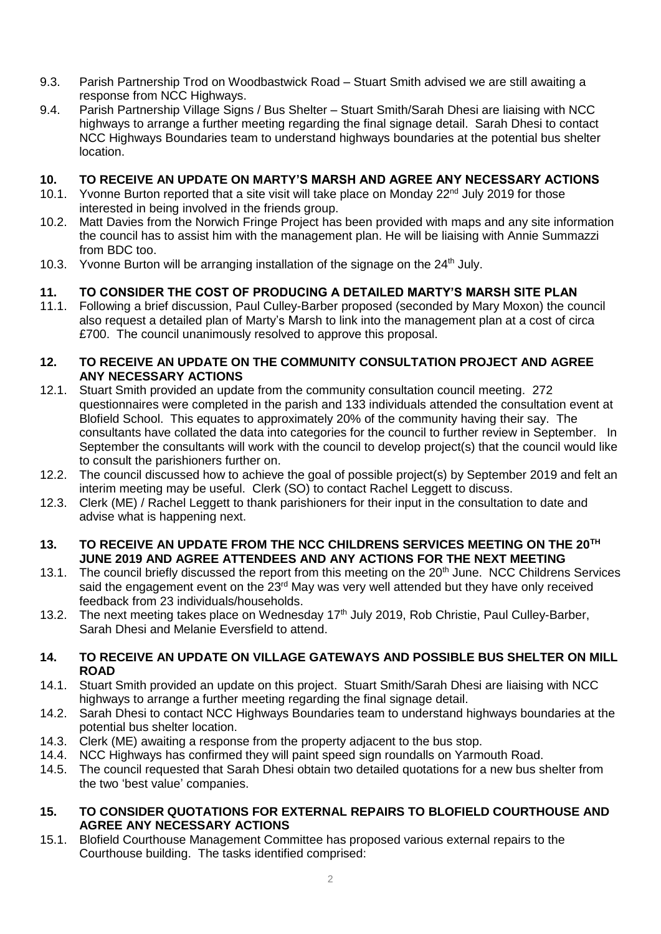- 9.3. Parish Partnership Trod on Woodbastwick Road Stuart Smith advised we are still awaiting a response from NCC Highways.
- 9.4. Parish Partnership Village Signs / Bus Shelter Stuart Smith/Sarah Dhesi are liaising with NCC highways to arrange a further meeting regarding the final signage detail. Sarah Dhesi to contact NCC Highways Boundaries team to understand highways boundaries at the potential bus shelter location.

#### **10. TO RECEIVE AN UPDATE ON MARTY'S MARSH AND AGREE ANY NECESSARY ACTIONS**

- 10.1. Yvonne Burton reported that a site visit will take place on Monday  $22^{nd}$  July 2019 for those interested in being involved in the friends group.
- 10.2. Matt Davies from the Norwich Fringe Project has been provided with maps and any site information the council has to assist him with the management plan. He will be liaising with Annie Summazzi from BDC too.
- 10.3. Yvonne Burton will be arranging installation of the signage on the 24<sup>th</sup> July.

## **11. TO CONSIDER THE COST OF PRODUCING A DETAILED MARTY'S MARSH SITE PLAN**

11.1. Following a brief discussion, Paul Culley-Barber proposed (seconded by Mary Moxon) the council also request a detailed plan of Marty's Marsh to link into the management plan at a cost of circa £700. The council unanimously resolved to approve this proposal.

#### **12. TO RECEIVE AN UPDATE ON THE COMMUNITY CONSULTATION PROJECT AND AGREE ANY NECESSARY ACTIONS**

- 12.1. Stuart Smith provided an update from the community consultation council meeting. 272 questionnaires were completed in the parish and 133 individuals attended the consultation event at Blofield School. This equates to approximately 20% of the community having their say. The consultants have collated the data into categories for the council to further review in September. In September the consultants will work with the council to develop project(s) that the council would like to consult the parishioners further on.
- 12.2. The council discussed how to achieve the goal of possible project(s) by September 2019 and felt an interim meeting may be useful. Clerk (SO) to contact Rachel Leggett to discuss.
- 12.3. Clerk (ME) / Rachel Leggett to thank parishioners for their input in the consultation to date and advise what is happening next.

#### **13. TO RECEIVE AN UPDATE FROM THE NCC CHILDRENS SERVICES MEETING ON THE 20TH JUNE 2019 AND AGREE ATTENDEES AND ANY ACTIONS FOR THE NEXT MEETING**

- 13.1. The council briefly discussed the report from this meeting on the 20<sup>th</sup> June. NCC Childrens Services said the engagement event on the 23<sup>rd</sup> May was very well attended but they have only received feedback from 23 individuals/households.
- 13.2. The next meeting takes place on Wednesday 17<sup>th</sup> July 2019, Rob Christie, Paul Culley-Barber, Sarah Dhesi and Melanie Eversfield to attend.

#### **14. TO RECEIVE AN UPDATE ON VILLAGE GATEWAYS AND POSSIBLE BUS SHELTER ON MILL ROAD**

- 14.1. Stuart Smith provided an update on this project. Stuart Smith/Sarah Dhesi are liaising with NCC highways to arrange a further meeting regarding the final signage detail.
- 14.2. Sarah Dhesi to contact NCC Highways Boundaries team to understand highways boundaries at the potential bus shelter location.
- 14.3. Clerk (ME) awaiting a response from the property adjacent to the bus stop.
- 14.4. NCC Highways has confirmed they will paint speed sign roundalls on Yarmouth Road.
- 14.5. The council requested that Sarah Dhesi obtain two detailed quotations for a new bus shelter from the two 'best value' companies.

#### **15. TO CONSIDER QUOTATIONS FOR EXTERNAL REPAIRS TO BLOFIELD COURTHOUSE AND AGREE ANY NECESSARY ACTIONS**

15.1. Blofield Courthouse Management Committee has proposed various external repairs to the Courthouse building. The tasks identified comprised: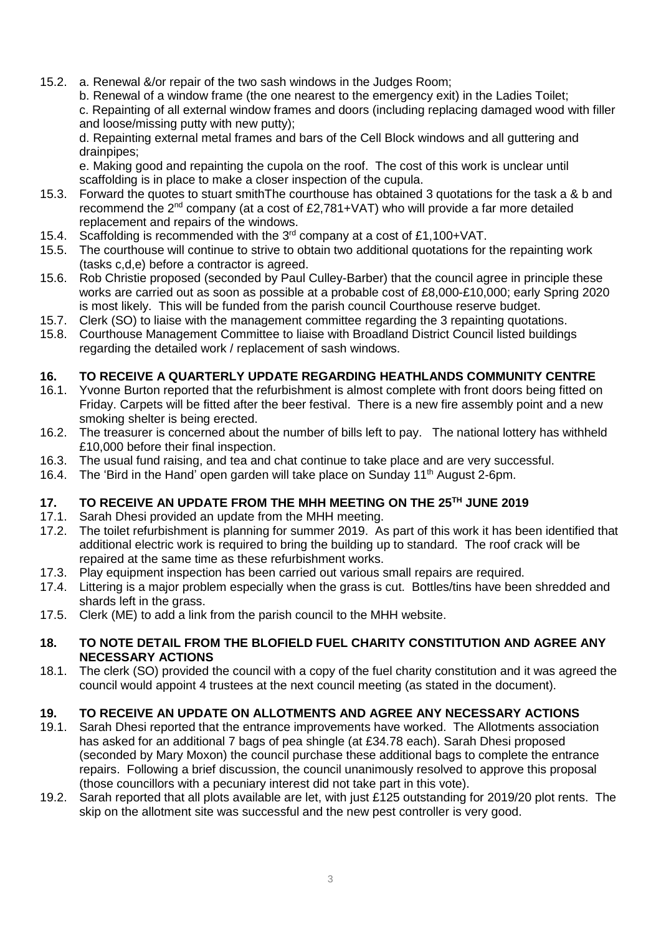15.2. a. Renewal &/or repair of the two sash windows in the Judges Room;

b. Renewal of a window frame (the one nearest to the emergency exit) in the Ladies Toilet; c. Repainting of all external window frames and doors (including replacing damaged wood with filler and loose/missing putty with new putty);

d. Repainting external metal frames and bars of the Cell Block windows and all guttering and drainpipes;

e. Making good and repainting the cupola on the roof. The cost of this work is unclear until scaffolding is in place to make a closer inspection of the cupula.

- 15.3. Forward the quotes to stuart smithThe courthouse has obtained 3 quotations for the task a & b and recommend the  $2^{nd}$  company (at a cost of £2,781+VAT) who will provide a far more detailed replacement and repairs of the windows.
- 15.4. Scaffolding is recommended with the 3rd company at a cost of £1,100+VAT.
- 15.5. The courthouse will continue to strive to obtain two additional quotations for the repainting work (tasks c,d,e) before a contractor is agreed.
- 15.6. Rob Christie proposed (seconded by Paul Culley-Barber) that the council agree in principle these works are carried out as soon as possible at a probable cost of £8,000-£10,000; early Spring 2020 is most likely. This will be funded from the parish council Courthouse reserve budget.
- 15.7. Clerk (SO) to liaise with the management committee regarding the 3 repainting quotations.
- 15.8. Courthouse Management Committee to liaise with Broadland District Council listed buildings regarding the detailed work / replacement of sash windows.

## **16. TO RECEIVE A QUARTERLY UPDATE REGARDING HEATHLANDS COMMUNITY CENTRE**

- 16.1. Yvonne Burton reported that the refurbishment is almost complete with front doors being fitted on Friday. Carpets will be fitted after the beer festival. There is a new fire assembly point and a new smoking shelter is being erected.
- 16.2. The treasurer is concerned about the number of bills left to pay. The national lottery has withheld £10,000 before their final inspection.
- 16.3. The usual fund raising, and tea and chat continue to take place and are very successful.
- 16.4. The 'Bird in the Hand' open garden will take place on Sunday 11<sup>th</sup> August 2-6pm.

## **17. TO RECEIVE AN UPDATE FROM THE MHH MEETING ON THE 25TH JUNE 2019**

- 17.1. Sarah Dhesi provided an update from the MHH meeting.
- 17.2. The toilet refurbishment is planning for summer 2019. As part of this work it has been identified that additional electric work is required to bring the building up to standard. The roof crack will be repaired at the same time as these refurbishment works.
- 17.3. Play equipment inspection has been carried out various small repairs are required.
- 17.4. Littering is a major problem especially when the grass is cut. Bottles/tins have been shredded and shards left in the grass.
- 17.5. Clerk (ME) to add a link from the parish council to the MHH website.

#### **18. TO NOTE DETAIL FROM THE BLOFIELD FUEL CHARITY CONSTITUTION AND AGREE ANY NECESSARY ACTIONS**

18.1. The clerk (SO) provided the council with a copy of the fuel charity constitution and it was agreed the council would appoint 4 trustees at the next council meeting (as stated in the document).

#### **19. TO RECEIVE AN UPDATE ON ALLOTMENTS AND AGREE ANY NECESSARY ACTIONS**

- 19.1. Sarah Dhesi reported that the entrance improvements have worked. The Allotments association has asked for an additional 7 bags of pea shingle (at £34.78 each). Sarah Dhesi proposed (seconded by Mary Moxon) the council purchase these additional bags to complete the entrance repairs. Following a brief discussion, the council unanimously resolved to approve this proposal (those councillors with a pecuniary interest did not take part in this vote).
- 19.2. Sarah reported that all plots available are let, with just £125 outstanding for 2019/20 plot rents. The skip on the allotment site was successful and the new pest controller is very good.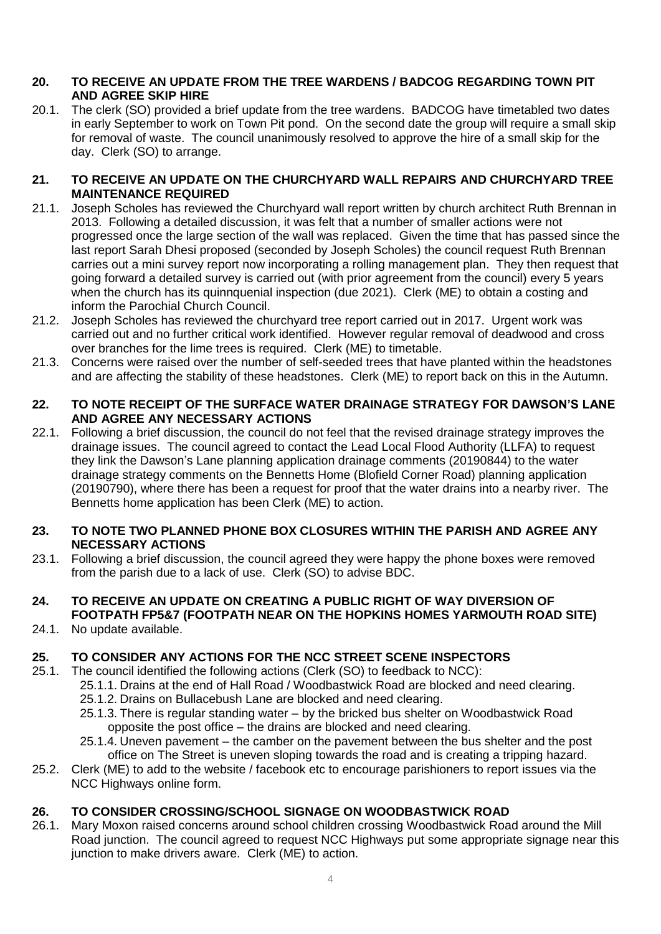#### **20. TO RECEIVE AN UPDATE FROM THE TREE WARDENS / BADCOG REGARDING TOWN PIT AND AGREE SKIP HIRE**

20.1. The clerk (SO) provided a brief update from the tree wardens. BADCOG have timetabled two dates in early September to work on Town Pit pond. On the second date the group will require a small skip for removal of waste. The council unanimously resolved to approve the hire of a small skip for the day. Clerk (SO) to arrange.

#### **21. TO RECEIVE AN UPDATE ON THE CHURCHYARD WALL REPAIRS AND CHURCHYARD TREE MAINTENANCE REQUIRED**

- 21.1. Joseph Scholes has reviewed the Churchyard wall report written by church architect Ruth Brennan in 2013. Following a detailed discussion, it was felt that a number of smaller actions were not progressed once the large section of the wall was replaced. Given the time that has passed since the last report Sarah Dhesi proposed (seconded by Joseph Scholes) the council request Ruth Brennan carries out a mini survey report now incorporating a rolling management plan. They then request that going forward a detailed survey is carried out (with prior agreement from the council) every 5 years when the church has its quinnquenial inspection (due 2021). Clerk (ME) to obtain a costing and inform the Parochial Church Council.
- 21.2. Joseph Scholes has reviewed the churchyard tree report carried out in 2017. Urgent work was carried out and no further critical work identified. However regular removal of deadwood and cross over branches for the lime trees is required. Clerk (ME) to timetable.
- 21.3. Concerns were raised over the number of self-seeded trees that have planted within the headstones and are affecting the stability of these headstones. Clerk (ME) to report back on this in the Autumn.

#### **22. TO NOTE RECEIPT OF THE SURFACE WATER DRAINAGE STRATEGY FOR DAWSON'S LANE AND AGREE ANY NECESSARY ACTIONS**

22.1. Following a brief discussion, the council do not feel that the revised drainage strategy improves the drainage issues. The council agreed to contact the Lead Local Flood Authority (LLFA) to request they link the Dawson's Lane planning application drainage comments (20190844) to the water drainage strategy comments on the Bennetts Home (Blofield Corner Road) planning application (20190790), where there has been a request for proof that the water drains into a nearby river. The Bennetts home application has been Clerk (ME) to action.

#### **23. TO NOTE TWO PLANNED PHONE BOX CLOSURES WITHIN THE PARISH AND AGREE ANY NECESSARY ACTIONS**

23.1. Following a brief discussion, the council agreed they were happy the phone boxes were removed from the parish due to a lack of use. Clerk (SO) to advise BDC.

#### **24. TO RECEIVE AN UPDATE ON CREATING A PUBLIC RIGHT OF WAY DIVERSION OF FOOTPATH FP5&7 (FOOTPATH NEAR ON THE HOPKINS HOMES YARMOUTH ROAD SITE)**

24.1. No update available.

## **25. TO CONSIDER ANY ACTIONS FOR THE NCC STREET SCENE INSPECTORS**

- 25.1. The council identified the following actions (Clerk (SO) to feedback to NCC):
	- 25.1.1. Drains at the end of Hall Road / Woodbastwick Road are blocked and need clearing.
	- 25.1.2. Drains on Bullacebush Lane are blocked and need clearing.
	- 25.1.3. There is regular standing water by the bricked bus shelter on Woodbastwick Road opposite the post office – the drains are blocked and need clearing.
	- 25.1.4. Uneven pavement the camber on the pavement between the bus shelter and the post office on The Street is uneven sloping towards the road and is creating a tripping hazard.
- 25.2. Clerk (ME) to add to the website / facebook etc to encourage parishioners to report issues via the NCC Highways online form.

## **26. TO CONSIDER CROSSING/SCHOOL SIGNAGE ON WOODBASTWICK ROAD**

26.1. Mary Moxon raised concerns around school children crossing Woodbastwick Road around the Mill Road junction. The council agreed to request NCC Highways put some appropriate signage near this junction to make drivers aware. Clerk (ME) to action.